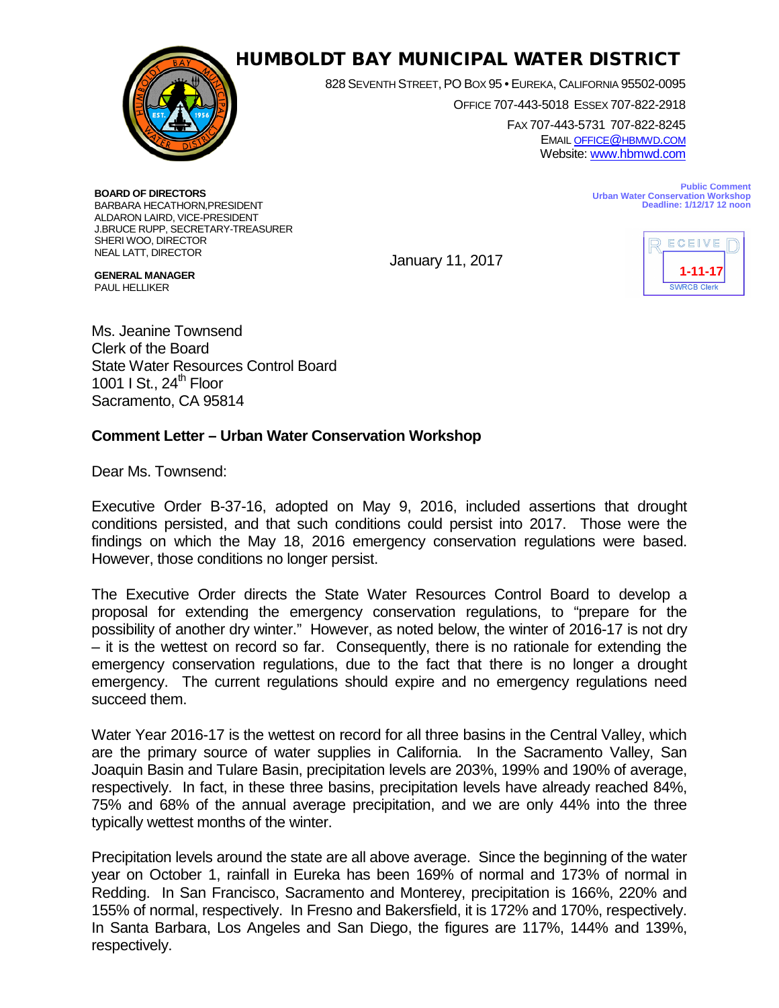

## HUMBOLDT BAY MUNICIPAL WATER DISTRICT

828 SEVENTH STREET, PO BOX 95 • EUREKA, CALIFORNIA 95502-0095

OFFICE 707-443-5018 ESSEX 707-822-2918

FAX 707-443-5731 707-822-8245 EMAI[L OFFICE@HBMWD.COM](mailto:office@hbmwd.com) Website: [www.hbmwd.com](http://www.hbmwd.com/)

**BOARD OF DIRECTORS** BARBARA HECATHORN,PRESIDENT ALDARON LAIRD, VICE-PRESIDENT J.BRUCE RUPP, SECRETARY-TREASURER SHERI WOO, DIRECTOR NEAL LATT, DIRECTOR

January 11, 2017



**Deadline: 1/12/17 12 noon**

**Urban Water Conservation Workshop**

**Public Comment**

**GENERAL MANAGER** PAUL HELLIKER Ms. Jeanine Townsend Clerk of the Board

State Water Resources Control Board 1001 I St.,  $24<sup>th</sup>$  Floor Sacramento, CA 95814

## **Comment Letter – Urban Water Conservation Workshop**

Dear Ms. Townsend:

Executive Order B-37-16, adopted on May 9, 2016, included assertions that drought conditions persisted, and that such conditions could persist into 2017. Those were the findings on which the May 18, 2016 emergency conservation regulations were based. However, those conditions no longer persist.

The Executive Order directs the State Water Resources Control Board to develop a proposal for extending the emergency conservation regulations, to "prepare for the possibility of another dry winter." However, as noted below, the winter of 2016-17 is not dry – it is the wettest on record so far. Consequently, there is no rationale for extending the emergency conservation regulations, due to the fact that there is no longer a drought emergency. The current regulations should expire and no emergency regulations need succeed them.

Water Year 2016-17 is the wettest on record for all three basins in the Central Valley, which are the primary source of water supplies in California. In the Sacramento Valley, San Joaquin Basin and Tulare Basin, precipitation levels are 203%, 199% and 190% of average, respectively. In fact, in these three basins, precipitation levels have already reached 84%, 75% and 68% of the annual average precipitation, and we are only 44% into the three typically wettest months of the winter.

Precipitation levels around the state are all above average. Since the beginning of the water year on October 1, rainfall in Eureka has been 169% of normal and 173% of normal in Redding. In San Francisco, Sacramento and Monterey, precipitation is 166%, 220% and 155% of normal, respectively. In Fresno and Bakersfield, it is 172% and 170%, respectively. In Santa Barbara, Los Angeles and San Diego, the figures are 117%, 144% and 139%, respectively.